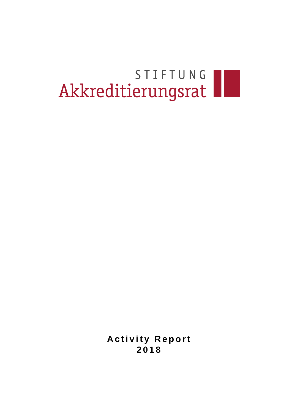# STIFTUNG

**Activity Report 2 0 1 8**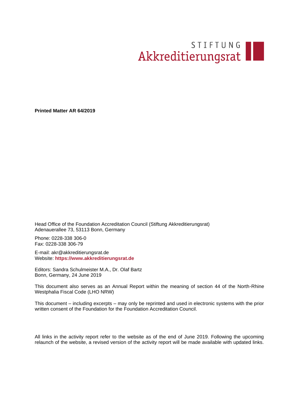# STIFTUNG

**Printed Matter AR 64/2019**

Head Office of the Foundation Accreditation Council (Stiftung Akkreditierungsrat) Adenauerallee 73, 53113 Bonn, Germany

Phone: 0228-338 306-0 Fax: 0228-338 306-79

E-mail: akr@akkreditierungsrat.de Website: **[https://www.akkreditierungsrat.de](https://www.akkreditierungsrat.de/)**

Editors: Sandra Schulmeister M.A., Dr. Olaf Bartz Bonn, Germany, 24 June 2019

This document also serves as an Annual Report within the meaning of section 44 of the North-Rhine Westphalia Fiscal Code (LHO NRW)

This document – including excerpts – may only be reprinted and used in electronic systems with the prior written consent of the Foundation for the Foundation Accreditation Council.

All links in the activity report refer to the website as of the end of June 2019. Following the upcoming relaunch of the website, a revised version of the activity report will be made available with updated links.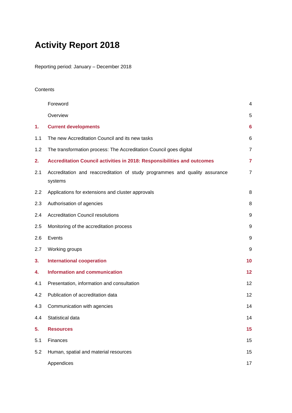## **Activity Report 2018**

Reporting period: January – December 2018

#### **Contents**

|     | Foreword                                                                               | 4              |
|-----|----------------------------------------------------------------------------------------|----------------|
|     | Overview                                                                               | 5              |
| 1.  | <b>Current developments</b>                                                            | 6              |
| 1.1 | The new Accreditation Council and its new tasks                                        | 6              |
| 1.2 | The transformation process: The Accreditation Council goes digital                     | $\overline{7}$ |
| 2.  | Accreditation Council activities in 2018: Responsibilities and outcomes                | $\overline{7}$ |
| 2.1 | Accreditation and reaccreditation of study programmes and quality assurance<br>systems | $\overline{7}$ |
| 2.2 | Applications for extensions and cluster approvals                                      | 8              |
| 2.3 | Authorisation of agencies                                                              | 8              |
| 2.4 | <b>Accreditation Council resolutions</b>                                               | 9              |
| 2.5 | Monitoring of the accreditation process                                                | 9              |
| 2.6 | Events                                                                                 | 9              |
| 2.7 | Working groups                                                                         | 9              |
| 3.  | <b>International cooperation</b>                                                       | 10             |
| 4.  | <b>Information and communication</b>                                                   | 12             |
| 4.1 | Presentation, information and consultation                                             | 12             |
| 4.2 | Publication of accreditation data                                                      | 12             |
| 4.3 | Communication with agencies                                                            | 14             |
| 4.4 | Statistical data                                                                       | 14             |
| 5.  | <b>Resources</b>                                                                       | 15             |
| 5.1 | Finances                                                                               | 15             |
| 5.2 | Human, spatial and material resources                                                  | 15             |
|     | Appendices                                                                             | 17             |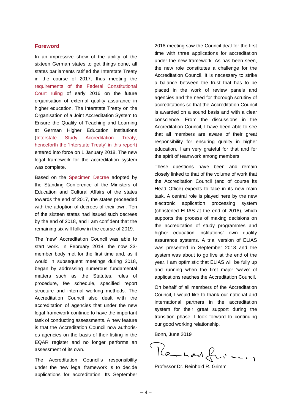#### <span id="page-3-0"></span>**Foreword**

In an impressive show of the ability of the sixteen German states to get things done, all states parliaments ratified the Interstate Treaty in the course of 2017, thus meeting the [requirements of the Federal Constitutional](https://www.bundesverfassungsgericht.de/SharedDocs/Entscheidungen/DE/2016/02/ls20160217_1bvl000810.html)  [Court ruling](https://www.bundesverfassungsgericht.de/SharedDocs/Entscheidungen/DE/2016/02/ls20160217_1bvl000810.html) of early 2016 on the future organisation of external quality assurance in higher education. The Interstate Treaty on the Organisation of a Joint Accreditation System to Ensure the Quality of Teaching and Learning at German Higher Education Institutions [\(Interstate Study Accreditation Treaty,](http://www.akkreditierungsrat.de/fileadmin/Seiteninhalte/AR/Sonstige/Studienakkreditierungsstaatsvertrag.pdf) henceforth the 'Interstate Treaty' in this report) entered into force on 1 January 2018. The new legal framework for the accreditation system was complete.

Based on the [Specimen Decree](http://www.akkreditierungsrat.de/fileadmin/Seiteninhalte/KMK/Vorgaben/Musterrechtsverordnung.pdf) adopted by the Standing Conference of the Ministers of Education and Cultural Affairs of the states towards the end of 2017, the states proceeded with the adoption of decrees of their own. Ten of the sixteen states had issued such decrees by the end of 2018, and I am confident that the remaining six will follow in the course of 2019.

The 'new' Accreditation Council was able to start work. In February 2018, the now 23 member body met for the first time and, as it would in subsequent meetings during 2018, began by addressing numerous fundamental matters such as the Statutes, rules of procedure, fee schedule, specified report structure and internal working methods. The Accreditation Council also dealt with the accreditation of agencies that under the new legal framework continue to have the important task of conducting assessments. A new feature is that the Accreditation Council now authorises agencies on the basis of their listing in the EQAR register and no longer performs an assessment of its own.

The Accreditation Council's responsibility under the new legal framework is to decide applications for accreditation. Its September

2018 meeting saw the Council deal for the first time with three applications for accreditation under the new framework. As has been seen, the new role constitutes a challenge for the Accreditation Council. It is necessary to strike a balance between the trust that has to be placed in the work of review panels and agencies and the need for thorough scrutiny of accreditations so that the Accreditation Council is awarded on a sound basis and with a clear conscience. From the discussions in the Accreditation Council, I have been able to see that all members are aware of their great responsibility for ensuring quality in higher education. I am very grateful for that and for the spirit of teamwork among members.

These questions have been and remain closely linked to that of the volume of work that the Accreditation Council (and of course its Head Office) expects to face in its new main task. A central role is played here by the new electronic application processing system (christened ELIAS at the end of 2018), which supports the process of making decisions on the accreditation of study programmes and higher education institutions' own quality assurance systems. A trial version of ELIAS was presented in September 2018 and the system was about to go live at the end of the year. I am optimistic that ELIAS will be fully up and running when the first major 'wave' of applications reaches the Accreditation Council.

On behalf of all members of the Accreditation Council, I would like to thank our national and international partners in the accreditation system for their great support during the transition phase. I look forward to continuing our good working relationship.

Bonn, June 2019

Kenhard for my

Professor Dr. Reinhold R. Grimm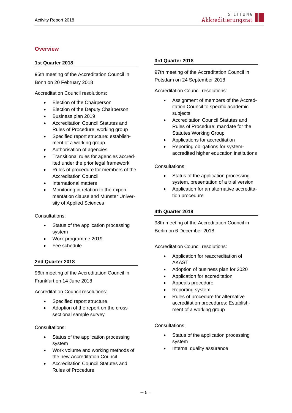#### <span id="page-4-0"></span>**Overview**

#### **1st Quarter 2018**

95th meeting of the Accreditation Council in Bonn on 20 February 2018

Accreditation Council resolutions:

- Election of the Chairperson
- Election of the Deputy Chairperson
- Business plan 2019
- Accreditation Council Statutes and Rules of Procedure: working group
- Specified report structure: establishment of a working group
- Authorisation of agencies
- Transitional rules for agencies accredited under the prior legal framework
- Rules of procedure for members of the Accreditation Council
- International matters
- Monitoring in relation to the experimentation clause and Münster University of Applied Sciences

#### Consultations:

- Status of the application processing system
- Work programme 2019
- Fee schedule

#### **2nd Quarter 2018**

96th meeting of the Accreditation Council in Frankfurt on 14 June 2018

Accreditation Council resolutions:

- Specified report structure
- Adoption of the report on the crosssectional sample survey

#### Consultations:

- Status of the application processing system
- Work volume and working methods of the new Accreditation Council
- Accreditation Council Statutes and Rules of Procedure

#### **3rd Quarter 2018**

97th meeting of the Accreditation Council in Potsdam on 24 September 2018

Accreditation Council resolutions:

- Assignment of members of the Accreditation Council to specific academic subjects
- Accreditation Council Statutes and Rules of Procedure; mandate for the Statutes Working Group
- Applications for accreditation
- Reporting obligations for systemaccredited higher education institutions

#### Consultations:

- Status of the application processing system, presentation of a trial version
- Application for an alternative accreditation procedure

#### **4th Quarter 2018**

98th meeting of the Accreditation Council in Berlin on 6 December 2018

Accreditation Council resolutions:

- Application for reaccreditation of AKAST
- Adoption of business plan for 2020
- Application for accreditation
- Appeals procedure
- Reporting system
- Rules of procedure for alternative accreditation procedures: Establishment of a working group

#### Consultations:

- Status of the application processing system
- Internal quality assurance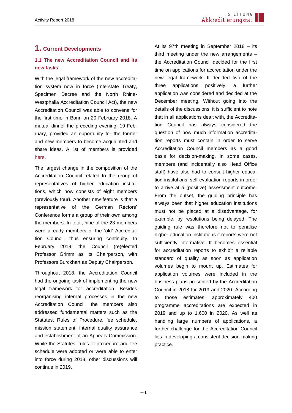#### <span id="page-5-0"></span>**1. Current Developments**

#### **1.1 The new Accreditation Council and its new tasks**

With the legal framework of the new accreditation system now in force (Interstate Treaty, Specimen Decree and the North Rhine-Westphalia Accreditation Council Act), the new Accreditation Council was able to convene for the first time in Bonn on 20 February 2018. A mutual dinner the preceding evening, 19 February, provided an opportunity for the former and new members to become acquainted and share ideas. A list of members is provided [here.](https://www.akkreditierungsrat.de/de/stiftung-akkreditierungsrat/akkreditierungsrat/akkreditierungsrat)

The largest change in the composition of the Accreditation Council related to the group of representatives of higher education institutions, which now consists of eight members (previously four). Another new feature is that a representative of the German Rectors' Conference forms a group of their own among the members. In total, nine of the 23 members were already members of the 'old' Accreditation Council, thus ensuring continuity. In February 2018, the Council (re)elected Professor Grimm as its Chairperson, with Professors Burckhart as Deputy Chairperson.

Throughout 2018, the Accreditation Council had the ongoing task of implementing the new legal framework for accreditation. Besides reorganising internal processes in the new Accreditation Council, the members also addressed fundamental matters such as the Statutes, Rules of Procedure, fee schedule, mission statement, internal quality assurance and establishment of an Appeals Commission. While the Statutes, rules of procedure and fee schedule were adopted or were able to enter into force during 2018, other discussions will continue in 2019.

At its 97th meeting in September 2018 – its third meeting under the new arrangements – the Accreditation Council decided for the first time on applications for accreditation under the new legal framework. It decided two of the three applications positively; a further application was considered and decided at the December meeting. Without going into the details of the discussions, it is sufficient to note that in all applications dealt with, the Accreditation Council has always considered the question of how much information accreditation reports must contain in order to serve Accreditation Council members as a good basis for decision-making. In some cases, members (and incidentally also Head Office staff) have also had to consult higher education institutions' self-evaluation reports in order to arrive at a (positive) assessment outcome. From the outset, the guiding principle has always been that higher education institutions must not be placed at a disadvantage, for example, by resolutions being delayed. The guiding rule was therefore not to penalise higher education institutions if reports were not sufficiently informative. It becomes essential for accreditation reports to exhibit a reliable standard of quality as soon as application volumes begin to mount up. Estimates for application volumes were included in the business plans presented by the Accreditation Council in 2018 for 2019 and 2020. According to those estimates, approximately 400 programme accreditations are expected in 2019 and up to 1,600 in 2020. As well as handling large numbers of applications, a further challenge for the Accreditation Council lies in developing a consistent decision-making practice.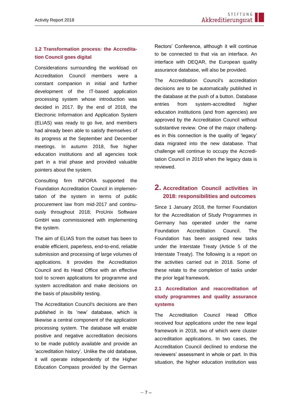#### **1.2 Transformation process: the Accreditation Council goes digital**

Considerations surrounding the workload on Accreditation Council members were a constant companion in initial and further development of the IT-based application processing system whose introduction was decided in 2017. By the end of 2018, the Electronic Information and Application System (ELIAS) was ready to go live, and members had already been able to satisfy themselves of its progress at the September and December meetings. In autumn 2018, five higher education institutions and all agencies took part in a trial phase and provided valuable pointers about the system.

Consulting firm INFORA supported the Foundation Accreditation Council in implementation of the system in terms of public procurement law from mid-2017 and continuously throughout 2018; ProUnix Software GmbH was commissioned with implementing the system.

The aim of ELIAS from the outset has been to enable efficient, paperless, end-to-end, reliable submission and processing of large volumes of applications. It provides the Accreditation Council and its Head Office with an effective tool to screen applications for programme and system accreditation and make decisions on the basis of plausibility testing.

The Accreditation Council's decisions are then published in its 'new' database, which is likewise a central component of the application processing system. The database will enable positive and negative accreditation decisions to be made publicly available and provide an 'accreditation history'. Unlike the old database, it will operate independently of the Higher Education Compass provided by the German

Rectors' Conference, although it will continue to be connected to that via an interface. An interface with DEQAR, the European quality assurance database, will also be provided.

The Accreditation Council's accreditation decisions are to be automatically published in the database at the push of a button. Database entries from system-accredited higher education institutions (and from agencies) are approved by the Accreditation Council without substantive review. One of the major challenges in this connection is the quality of 'legacy' data migrated into the new database. That challenge will continue to occupy the Accreditation Council in 2019 when the legacy data is reviewed.

#### <span id="page-6-0"></span>**2. Accreditation Council activities in 2018: responsibilities and outcomes**

Since 1 January 2018, the former Foundation for the Accreditation of Study Programmes in Germany has operated under the name Foundation Accreditation Council. The Foundation has been assigned new tasks under the Interstate Treaty (Article 5 of the Interstate Treaty). The following is a report on the activities carried out in 2018. Some of these relate to the completion of tasks under the prior legal framework.

#### <span id="page-6-1"></span>**2.1 Accreditation and reaccreditation of study programmes and quality assurance systems**

The Accreditation Council Head Office received four applications under the new legal framework in 2018, two of which were cluster accreditation applications. In two cases, the Accreditation Council declined to endorse the reviewers' assessment in whole or part. In this situation, the higher education institution was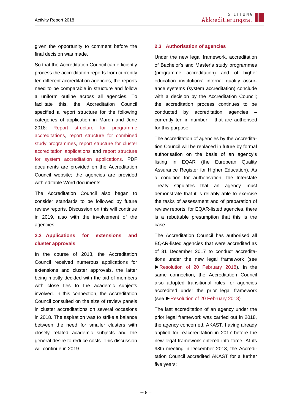given the opportunity to comment before the final decision was made.

So that the Accreditation Council can efficiently process the accreditation reports from currently ten different accreditation agencies, the reports need to be comparable in structure and follow a uniform outline across all agencies. To facilitate this, the Accreditation Council specified a report structure for the following categories of application in March and June 2018: [Report structure](https://www.akkreditierungsrat.de/fileadmin/Seiteninhalte/AR/Beschluesse/Neues_System/Raster/Programm_Fassung_01_Raster_Akkreditierungsbericht.pdf) for programme [accreditations,](https://www.akkreditierungsrat.de/fileadmin/Seiteninhalte/AR/Beschluesse/Neues_System/Raster/Programm_Fassung_01_Raster_Akkreditierungsbericht.pdf) [report structure](https://www.akkreditierungsrat.de/fileadmin/Seiteninhalte/AR/Beschluesse/Neues_System/Raster/Kombination_Fassung_01_Raster_Akkreditierungsbericht.pdf) for combined [study programmes,](https://www.akkreditierungsrat.de/fileadmin/Seiteninhalte/AR/Beschluesse/Neues_System/Raster/Kombination_Fassung_01_Raster_Akkreditierungsbericht.pdf) [report structure](https://www.akkreditierungsrat.de/fileadmin/Seiteninhalte/AR/Beschluesse/Neues_System/Raster/Buendel_Fassung_01_Raster_Akkreditierungsbericht.pdf) for cluster [accreditation applications](https://www.akkreditierungsrat.de/fileadmin/Seiteninhalte/AR/Beschluesse/Neues_System/Raster/Buendel_Fassung_01_Raster_Akkreditierungsbericht.pdf) and [report structure](https://www.akkreditierungsrat.de/fileadmin/Seiteninhalte/AR/Beschluesse/Neues_System/Raster/System_Fassung_01_Raster_Akkreditierungsbericht.pdf) [for system accreditation applications.](https://www.akkreditierungsrat.de/fileadmin/Seiteninhalte/AR/Beschluesse/Neues_System/Raster/System_Fassung_01_Raster_Akkreditierungsbericht.pdf) PDF documents are provided on the Accreditation Council website; the agencies are provided with editable Word documents.

The Accreditation Council also began to consider standards to be followed by future review reports. Discussion on this will continue in 2019, also with the involvement of the agencies.

#### **2.2 Applications for extensions and cluster approvals**

In the course of 2018, the Accreditation Council received numerous applications for extensions and cluster approvals, the latter being mostly decided with the aid of members with close ties to the academic subjects involved. In this connection, the Accreditation Council consulted on the size of review panels in cluster accreditations on several occasions in 2018. The aspiration was to strike a balance between the need for smaller clusters with closely related academic subjects and the general desire to reduce costs. This discussion will continue in 2019.

#### **2.3 Authorisation of agencies**

Under the new legal framework, accreditation of Bachelor's and Master's study programmes (programme accreditation) and of higher education institutions' internal quality assurance systems (system accreditation) conclude with a decision by the Accreditation Council; the accreditation process continues to be conducted by accreditation agencies currently ten in number – that are authorised for this purpose.

The accreditation of agencies by the Accreditation Council will be replaced in future by formal authorisation on the basis of an agency's listing in EQAR (the European Quality Assurance Register for Higher Education). As a condition for authorisation, the Interstate Treaty stipulates that an agency must demonstrate that it is reliably able to exercise the tasks of assessment and of preparation of review reports; for EQAR-listed agencies, there is a rebuttable presumption that this is the case.

The Accreditation Council has authorised all EQAR-listed agencies that were accredited as of 31 December 2017 to conduct accreditations under the new legal framework (see [►Resolution of 20 February 2018\)](https://www.akkreditierungsrat.de/fileadmin/Seiteninhalte/AR/Beschluesse/Neues_System/AR_Beschluss_Zulassung_von_Agenturen_2018_02_20_Drs._AR_16-2018.pdf). In the same connection, the Accreditation Council also adopted transitional rules for agencies accredited under the prior legal framework (see [►Resolution of 20 February 2018\)](https://www.akkreditierungsrat.de/fileadmin/Seiteninhalte/AR/Beschluesse/Neues_System/AR_Beschluss_UEbergangsregelung_Agenturen_2018_02_20_Drs._AR_28-2018.pdf)

The last accreditation of an agency under the prior legal framework was carried out in 2018, the agency concerned, AKAST, having already applied for reaccreditation in 2017 before the new legal framework entered into force. At its 98th meeting in December 2018, the Accreditation Council accredited AKAST for a further five years: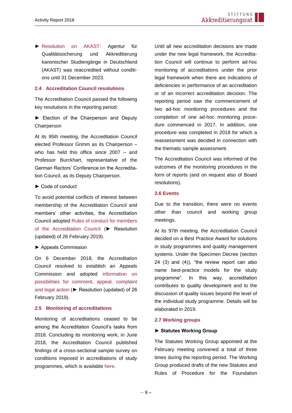► [Resolution on AKAST:](https://www.akkreditierungsrat.de/fileadmin/Seiteninhalte/Agenturen/AKAST_2018/AR_Beschluss_Reakkreditierung_AKAST_20180612_Drs_96-2018.pdf) Agentur für Qualitätssicherung und Akkreditierung kanonischer Studiengänge in Deutschland (AKAST) was reaccredited without conditions until 31 December 2023.

#### **2.4 Accreditation Council resolutions**

The Accreditation Council passed the following key resolutions in the reporting period:

► Election of the Chairperson and Deputy Chairperson

At its 95th meeting, the Accreditation Council elected Professor Grimm as its Chairperson – who has held this office since 2007 – and Professor Burckhart, representative of the German Rectors' Conference on the Accreditation Council, as its Deputy Chairperson.

#### ► Code of conduct

To avoid potential conflicts of interest between membership of the Accreditation Council and members' other activities, the Accreditation Council adopted [Rules of conduct for members](https://akkreditierungsrat.de/fileadmin/Seiteninhalte/AR/Beschluesse/Neues_System/AR_Beschluss_Verhaltensregeln_Mitglieder__2019.02.26_Drs_AR_31-2019.pdf)  [of the Accreditation Council](https://akkreditierungsrat.de/fileadmin/Seiteninhalte/AR/Beschluesse/Neues_System/AR_Beschluss_Verhaltensregeln_Mitglieder__2019.02.26_Drs_AR_31-2019.pdf) (► Resolution (updated) of 26 February 2019).

#### ► Appeals Commission

On 6 December 2018, the Accreditation Council resolved to establish an Appeals Commission and adopted [information on](https://akkreditierungsrat.de/fileadmin/Seiteninhalte/AR/Beschluesse/Neues_System/AR_Beschluss_Beschwerdeverfahren_20190226_Drs._AR_42-2019.pdf)  [possibilities for comment, appeal, complaint](https://akkreditierungsrat.de/fileadmin/Seiteninhalte/AR/Beschluesse/Neues_System/AR_Beschluss_Beschwerdeverfahren_20190226_Drs._AR_42-2019.pdf)  [and legal action](https://akkreditierungsrat.de/fileadmin/Seiteninhalte/AR/Beschluesse/Neues_System/AR_Beschluss_Beschwerdeverfahren_20190226_Drs._AR_42-2019.pdf) (► Resolution (updated) of 26 February 2019).

#### <span id="page-8-0"></span>**2.5 Monitoring of accreditations**

Monitoring of accreditations ceased to be among the Accreditation Council's tasks from 2018. Concluding its monitoring work, in June 2018, the Accreditation Council published findings of a cross-sectional sample survey on conditions imposed in accreditations of study programmes, which is available [here.](https://www.akkreditierungsrat.de/fileadmin/Seiteninhalte/AR/Veroeffentlichungen/Berichte/Bericht_Auflagenstichprobe_final.pdf)

Until all new accreditation decisions are made under the new legal framework, the Accreditation Council will continue to perform ad-hoc monitoring of accreditations under the prior legal framework when there are indications of deficiencies in performance of an accreditation or of an incorrect accreditation decision. The reporting period saw the commencement of two ad-hoc monitoring procedures and the completion of one ad-hoc monitoring procedure commenced in 2017. In addition, one procedure was completed in 2018 for which a reassessment was decided in connection with the thematic sample assessment.

The Accreditation Council was informed of the outcomes of the monitoring procedures in the form of reports (and on request also of Board resolutions).

#### <span id="page-8-1"></span>**2.6 Events**

Due to the transition, there were no events other than council and working group meetings.

At its 97th meeting, the Accreditation Council decided on a Best Practice Award for solutions in study programmes and quality management systems. Under the Specimen Decree (section 24 (3) and (4)), "the review report can also name best-practice models for the study programme". In this way, accreditation contributes to quality development and to the discussion of quality issues beyond the level of the individual study programme. Details will be elaborated in 2019.

#### <span id="page-8-2"></span>**2.7 Working groups**

#### **► Statutes Working Group**

The Statutes Working Group appointed at the February meeting convened a total of three times during the reporting period. The Working Group produced drafts of the new Statutes and Rules of Procedure for the Foundation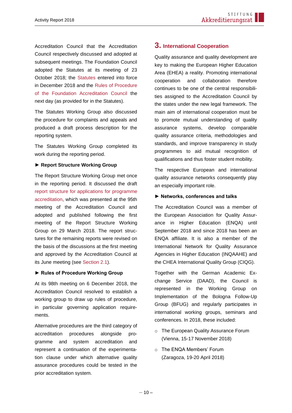Accreditation Council that the Accreditation Council respectively discussed and adopted at subsequent meetings. The Foundation Council adopted the Statutes at its meeting of 23 October 2018; the [Statutes](https://www.akkreditierungsrat.de/fileadmin/Seiteninhalte/AR/Beschluesse/Neues_System/Satzung_Stiftung_Akkreditierungsrat_2018.pdf) entered into force in December 2018 and the [Rules of Procedure](https://www.akkreditierungsrat.de/fileadmin/Seiteninhalte/AR/Beschluesse/Neues_System/Geschaeftsordnung_Stiftung_Akkreditierungsrat_2018.pdf)  [of the Foundation Accreditation Council](https://www.akkreditierungsrat.de/fileadmin/Seiteninhalte/AR/Beschluesse/Neues_System/Geschaeftsordnung_Stiftung_Akkreditierungsrat_2018.pdf) the next day (as provided for in the Statutes).

The Statutes Working Group also discussed the procedure for complaints and appeals and produced a draft process description for the reporting system.

The Statutes Working Group completed its work during the reporting period.

#### **► Report Structure Working Group**

The Report Structure Working Group met once in the reporting period. It discussed the draft [report structure for applications for programme](https://www.akkreditierungsrat.de/fileadmin/Seiteninhalte/AR/Beschluesse/Neues_System/Raster/Programm_Fassung_01_Raster_Akkreditierungsbericht.pdf) [accreditation,](https://www.akkreditierungsrat.de/fileadmin/Seiteninhalte/AR/Beschluesse/Neues_System/Raster/Programm_Fassung_01_Raster_Akkreditierungsbericht.pdf) which was presented at the 95th meeting of the Accreditation Council and adopted and published following the first meeting of the Report Structure Working Group on 29 March 2018. The report structures for the remaining reports were revised on the basis of the discussions at the first meeting and approved by the Accreditation Council at its June meeting (see [Section 2.1\)](#page-6-1).

#### **► Rules of Procedure Working Group**

At its 98th meeting on 6 December 2018, the Accreditation Council resolved to establish a working group to draw up rules of procedure, in particular governing application requirements.

Alternative procedures are the third category of accreditation procedures alongside programme and system accreditation and represent a continuation of the experimentation clause under which alternative quality assurance procedures could be tested in the prior accreditation system.

#### <span id="page-9-0"></span>**3. International Cooperation**

Quality assurance and quality development are key to making the European Higher Education Area (EHEA) a reality. Promoting international cooperation and collaboration therefore continues to be one of the central responsibilities assigned to the Accreditation Council by the states under the new legal framework. The main aim of international cooperation must be to promote mutual understanding of quality assurance systems, develop comparable quality assurance criteria, methodologies and standards, and improve transparency in study programmes to aid mutual recognition of qualifications and thus foster student mobility.

The respective European and international quality assurance networks consequently play an especially important role.

#### **► Networks, conferences and talks**

The Accreditation Council was a member of the European Association for Quality Assurance in Higher Education (ENQA) until September 2018 and since 2018 has been an ENQA affiliate. It is also a member of the International Network for Quality Assurance Agencies in Higher Education (INQAAHE) and the CHEA International Quality Group (CIQG).

Together with the German Academic Exchange Service (DAAD), the Council is represented in the Working Group on Implementation of the Bologna Follow-Up Group (BFUG) and regularly participates in international working groups, seminars and conferences. In 2018, these included:

- o The European Quality Assurance Forum (Vienna, 15-17 November 2018)
- o The ENQA Members' Forum (Zaragoza, 19-20 April 2018)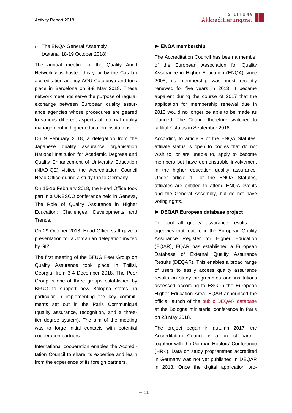#### o The ENQA General Assembly (Astana, 18-19 October 2018)

The annual meeting of the Quality Audit Network was hosted this year by the Catalan accreditation agency AQU Catalunya and took place in Barcelona on 8-9 May 2018. These network meetings serve the purpose of regular exchange between European quality assurance agencies whose procedures are geared to various different aspects of internal quality management in higher education institutions.

On 9 February 2018, a delegation from the Japanese quality assurance organisation National Institution for Academic Degrees and Quality Enhancement of University Education (NIAD-QE) visited the Accreditation Council Head Office during a study trip to Germany.

On 15-16 February 2018, the Head Office took part in a UNESCO conference held in Geneva, The Role of Quality Assurance in Higher Education: Challenges, Developments and Trends.

On 29 October 2018, Head Office staff gave a presentation for a Jordanian delegation invited by GIZ.

The first meeting of the BFUG Peer Group on Quality Assurance took place in Tbilisi, Georgia, from 3-4 December 2018. The Peer Group is one of three groups established by BFUG to support new Bologna states, in particular in implementing the key commitments set out in the Paris Communiqué (quality assurance, recognition, and a threetier degree system). The aim of the meeting was to forge initial contacts with potential cooperation partners.

International cooperation enables the Accreditation Council to share its expertise and learn from the experience of its foreign partners.

#### **► ENQA membership**

The Accreditation Council has been a member of the European Association for Quality Assurance in Higher Education (ENQA) since 2005; its membership was most recently renewed for five years in 2013. It became apparent during the course of 2017 that the application for membership renewal due in 2018 would no longer be able to be made as planned. The Council therefore switched to 'affiliate' status in September 2018.

According to article 9 of the ENQA Statutes, affiliate status is open to bodies that do not wish to, or are unable to, apply to become members but have demonstrable involvement in the higher education quality assurance. Under article 11 of the ENQA Statutes, affiliates are entitled to attend ENQA events and the General Assembly, but do not have voting rights.

#### **► DEQAR European database project**

To pool all quality assurance results for agencies that feature in the European Quality Assurance Register for Higher Education (EQAR), EQAR has established a European Database of External Quality Assurance Results (DEQAR). This enables a broad range of users to easily access quality assurance results on study programmes and institutions assessed according to ESG in the European Higher Education Area. EQAR announced the official launch of the [public DEQAR database](https://www.eqar.eu/qa-results/search/) at the Bologna ministerial conference in Paris on 23 May 2018.

The project began in autumn 2017; the Accreditation Council is a project partner together with the German Rectors' Conference (HRK). Data on study programmes accredited in Germany was not yet published in DEQAR in 2018. Once the digital application pro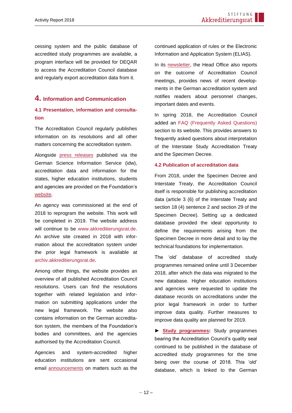cessing system and the public database of accredited study programmes are available, a program interface will be provided for DEQAR to access the Accreditation Council database and regularly export accreditation data from it.

#### <span id="page-11-0"></span>**4. Information and Communication**

#### <span id="page-11-1"></span>**4.1 Presentation, information and consultation**

The Accreditation Council regularly publishes information on its resolutions and all other matters concerning the accreditation system.

Alongside [press releases](https://www.akkreditierungsrat.de/) published via the German Science Information Service (idw), accreditation data and information for the states, higher education institutions, students and agencies are provided on the Foundation's [website.](https://www.akkreditierungsrat.de/)

An agency was commissioned at the end of 2018 to reprogram the website. This work will be completed in 2019. The website address will continue to be [www.akkreditierungsrat.de.](https://www.akkreditierungsrat.de/) An archive site created in 2018 with information about the accreditation system under the prior legal framework is available at [archiv.akkreditierungsrat.de.](https://archiv.akkreditierungsrat.de/)

Among other things, the website provides an overview of all published Accreditation Council resolutions. Users can find the resolutions together with related legislation and information on submitting applications under the new legal framework. The website also contains information on the German accreditation system, the members of the Foundation's bodies and committees, and the agencies authorised by the Accreditation Council.

Agencies and system-accredited higher education institutions are sent occasional email [announcements](https://www.akkreditierungsrat.de/#c621) on matters such as the continued application of rules or the Electronic Information and Application System (ELIAS).

In its [newsletter,](https://www.akkreditierungsrat.de/de/newsletter/newsletter-hier-abonnieren) the Head Office also reports on the outcome of Accreditation Council meetings, provides news of recent developments in the German accreditation system and notifies readers about personnel changes, important dates and events.

In spring 2018, the Accreditation Council added an [FAQ \(Frequently Asked Questions\)](https://www.akkreditierungsrat.de/en/faq) section to its website. This provides answers to frequently asked questions about interpretation of the Interstate Study Accreditation Treaty and the Specimen Decree.

#### <span id="page-11-2"></span>**4.2 Publication of accreditation data**

From 2018, under the Specimen Decree and Interstate Treaty, the Accreditation Council itself is responsible for publishing accreditation data (article 3 (6) of the Interstate Treaty and section 18 (4) sentence 2 and section 29 of the Specimen Decree). Setting up a dedicated database provided the ideal opportunity to define the requirements arising from the Specimen Decree in more detail and to lay the technical foundations for implementation.

The 'old' database of accredited study programmes remained online until 3 December 2018, after which the data was migrated to the new database. Higher education institutions and agencies were requested to update the database records on accreditations under the prior legal framework in order to further improve data quality. Further measures to improve data quality are planned for 2019.

**► [Study programmes:](https://www.hs-kompass2.de/kompass/xml/akkr/maske.html)** Study programmes bearing the Accreditation Council's quality seal continued to be published in the database of accredited study programmes for the time being over the course of 2018. This 'old' database, which is linked to the German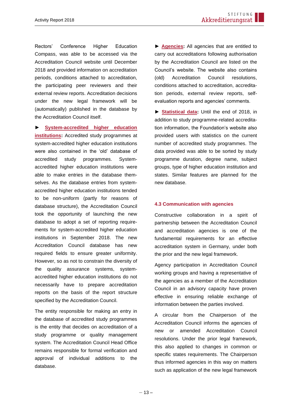Rectors' Conference Higher Education Compass, was able to be accessed via the Accreditation Council website until December 2018 and provided information on accreditation periods, conditions attached to accreditation, the participating peer reviewers and their external review reports. Accreditation decisions under the new legal framework will be (automatically) published in the database by the Accreditation Council itself.

**► [System-accredited higher education](https://www.hs-kompass2.de/kompass/xml/akkr/maske.html)  [institutions:](https://www.hs-kompass2.de/kompass/xml/akkr/maske.html)** Accredited study programmes at system-accredited higher education institutions were also contained in the 'old' database of accredited study programmes. Systemaccredited higher education institutions were able to make entries in the database themselves. As the database entries from systemaccredited higher education institutions tended to be non-uniform (partly for reasons of database structure), the Accreditation Council took the opportunity of launching the new database to adopt a set of reporting requirements for system-accredited higher education institutions in September 2018. The new Accreditation Council database has new required fields to ensure greater uniformity. However, so as not to constrain the diversity of the quality assurance systems, systemaccredited higher education institutions do not necessarily have to prepare accreditation reports on the basis of the report structure specified by the Accreditation Council.

The entity responsible for making an entry in the database of accredited study programmes is the entity that decides on accreditation of a study programme or quality management system. The Accreditation Council Head Office remains responsible for formal verification and approval of individual additions to the database.

**► [Agencies:](https://www.akkreditierungsrat.de/)** All agencies that are entitled to carry out accreditations following authorisation by the Accreditation Council are listed on the Council's website. The website also contains (old) Accreditation Council resolutions, conditions attached to accreditation, accreditation periods, external review reports, selfevaluation reports and agencies' comments.

▶ [Statistical data:](https://www.hs-kompass2.de/kompass/xml/akkr/akkr_stat_a.htm) Until the end of 2018, in addition to study programme-related accreditation information, the Foundation's website also provided users with statistics on the current number of accredited study programmes. The data provided was able to be sorted by study programme duration, degree name, subject groups, type of higher education institution and states. Similar features are planned for the new database.

#### <span id="page-12-0"></span>**4.3 Communication with agencies**

Constructive collaboration in a spirit of partnership between the Accreditation Council and accreditation agencies is one of the fundamental requirements for an effective accreditation system in Germany, under both the prior and the new legal framework.

Agency participation in Accreditation Council working groups and having a representative of the agencies as a member of the Accreditation Council in an advisory capacity have proven effective in ensuring reliable exchange of information between the parties involved.

A circular from the Chairperson of the Accreditation Council informs the agencies of new or amended Accreditation Council resolutions. Under the prior legal framework, this also applied to changes in common or specific states requirements. The Chairperson thus informed agencies in this way on matters such as application of the new legal framework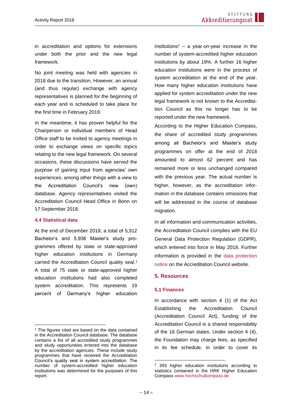in accreditation and options for extensions under both the prior and the new legal framework.

No joint meeting was held with agencies in 2018 due to the transition. However, an annual (and thus regular) exchange with agency representatives is planned for the beginning of each year and is scheduled to take place for the first time in February 2019.

In the meantime, it has proven helpful for the Chairperson or individual members of Head Office staff to be invited to agency meetings in order to exchange views on specific topics relating to the new legal framework. On several occasions, these discussions have served the purpose of gaining input from agencies' own experiences, among other things with a view to the Accreditation Council's new (own) database. Agency representatives visited the Accreditation Council Head Office in Bonn on 17 September 2018.

#### <span id="page-13-0"></span>**4.4 Statistical data**

At the end of December 2018, a total of 5,912 Bachelor's and 5,936 Master's study programmes offered by state or state-approved higher education institutions in Germany carried the Accreditation Council quality seal.<sup>1</sup> A total of 75 state or state-approved higher education institutions had also completed system accreditation. This represents 19 percent of Germany's higher education

institutions<sup>2</sup> – a year-on-year increase in the number of system-accredited higher education institutions by about 19%. A further 16 higher education institutions were in the process of system accreditation at the end of the year. How many higher education institutions have applied for system accreditation under the new legal framework is not known to the Accreditation Council as this no longer has to be reported under the new framework.

According to the Higher Education Compass, the share of accredited study programmes among all Bachelor's and Master's study programmes on offer at the end of 2018 amounted to almost 62 percent and has remained more or less unchanged compared with the previous year. The actual number is higher, however, as the accreditation information in the database contains omissions that will be addressed in the course of database migration.

<span id="page-13-1"></span>In all information and communication activities, the Accreditation Council complies with the EU General Data Protection Regulation (GDPR), which entered into force in May 2018. Further information is provided in the [data protection](https://www.akkreditierungsrat.de/en/node/34)  [notice](https://www.akkreditierungsrat.de/en/node/34) on the Accreditation Council website.

#### **5. Resources**

#### <span id="page-13-2"></span>**5.1 Finances**

In accordance with section 4 (1) of the Act Establishing the Accreditation Council (Accreditation Council Act), funding of the Accreditation Council is a shared responsibility of the 16 German states. Under section 4 (4), the Foundation may charge fees, as specified in its fee schedule, in order to cover its

<sup>&</sup>lt;sup>1</sup> The figures cited are based on the data contained in the Accreditation Council database. The database contains a list of all accredited study programmes and study opportunities entered into the database by the accreditation agencies. These include study programmes that have received the Accreditation Council's quality seal in system accreditation. The number of system-accredited higher education institutions was determined for the purposes of this report.

<sup>&</sup>lt;sup>2</sup> 393 higher education institutions according to statistics contained in the HRK Higher Education Compass [www.hochschulkompass.de](https://www.hochschulkompass.de/)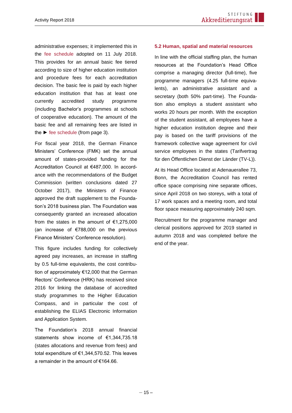administrative expenses; it implemented this in the [fee schedule](https://www.akkreditierungsrat.de/fileadmin/Seiteninhalte/AR/Beschluesse/Neues_System/Gebuehrenordnung/Gebuehrenordnung_Stiftung_Akkreditierungsrat_mit_Begruendung.pdf) adopted on 11 July 2018. This provides for an annual basic fee tiered according to size of higher education institution and procedure fees for each accreditation decision. The basic fee is paid by each higher education institution that has at least one currently accredited study programme (including Bachelor's programmes at schools of cooperative education). The amount of the basic fee and all remaining fees are listed in the  $\blacktriangleright$  [fee schedule](https://akkreditierungsrat.de/fileadmin/Seiteninhalte/AR/Beschluesse/Neues_System/Gebuehrenordnung/Gebuehrenordnung_Stiftung_Akkreditierungsrat_mit_Begruendung.pdf) (from page 3).

For fiscal year 2018, the German Finance Ministers' Conference (FMK) set the annual amount of states-provided funding for the Accreditation Council at €487,000. In accordance with the recommendations of the Budget Commission (written conclusions dated 27 October 2017), the Ministers of Finance approved the draft supplement to the Foundation's 2018 business plan. The Foundation was consequently granted an increased allocation from the states in the amount of  $€1,275,000$ (an increase of €788,000 on the previous Finance Ministers' Conference resolution).

This figure includes funding for collectively agreed pay increases, an increase in staffing by 0.5 full-time equivalents, the cost contribution of approximately €12,000 that the German Rectors' Conference (HRK) has received since 2016 for linking the database of accredited study programmes to the Higher Education Compass, and in particular the cost of establishing the ELIAS Electronic Information and Application System.

The Foundation's 2018 annual financial statements show income of €1,344,735.18 (states allocations and revenue from fees) and total expenditure of €1,344,570.52. This leaves a remainder in the amount of €164.66.

#### <span id="page-14-0"></span>**5.2 Human, spatial and material resources**

In line with the official staffing plan, the human resources at the Foundation's Head Office comprise a managing director (full-time), five programme managers (4.25 full-time equivalents), an administrative assistant and a secretary (both 50% part-time). The Foundation also employs a student assistant who works 20 hours per month. With the exception of the student assistant, all employees have a higher education institution degree and their pay is based on the tariff provisions of the framework collective wage agreement for civil service employees in the states (Tarifvertrag für den Öffentlichen Dienst der Länder (TV-L)).

At its Head Office located at Adenauerallee 73, Bonn, the Accreditation Council has rented office space comprising nine separate offices, since April 2018 on two storeys, with a total of 17 work spaces and a meeting room, and total floor space measuring approximately 240 sqm.

Recruitment for the programme manager and clerical positions approved for 2019 started in autumn 2018 and was completed before the end of the year.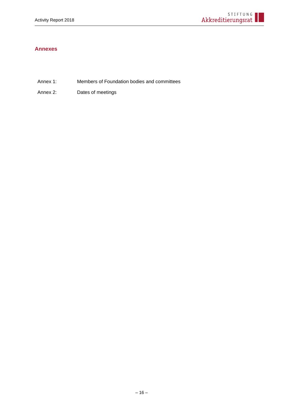#### <span id="page-15-0"></span>**Annexes**

- Annex 1: Members of Foundation bodies and committees
- Annex 2: Dates of meetings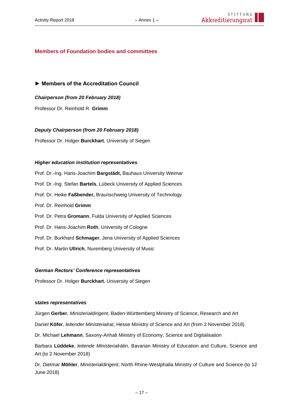#### **Members of Foundation bodies and committees**

**► Members of the Accreditation Council**

*Chairperson (from 20 February 2018)*

Professor Dr. Reinhold R. **Grimm** 

#### *Deputy Chairperson (from 20 February 2018)*

Professor Dr. Holger **Burckhart**, University of Siegen

#### *Higher education institution representatives*

Prof. Dr.-Ing. Hans-Joachim **Bargstädt,** Bauhaus University Weimar Prof. Dr.-Ing. Stefan **Bartels**, Lübeck University of Applied Sciences Prof. Dr. Heike **Faßbender,** Braunschweig University of Technology Prof. Dr. Reinhold **Grimm** Prof. Dr. Petra **Gromann**, Fulda University of Applied Sciences Prof. Dr. Hans-Joachim **Roth**, University of Cologne Prof. Dr. Burkhard **Schmager**, Jena University of Applied Sciences Prof. Dr. Martin **Ullrich**, Nuremberg University of Music

### *German Rectors' Conference representatives*

Professor Dr. Holger **Burckhart**, University of Siegen

#### *states representatives*

Jürgen **Gerber**, *Ministerialdirigent*, Baden-Württemberg Ministry of Science, Research and Art Daniel **Köfer**, *leitender Ministerialrat*, Hesse Ministry of Science and Art (from 2 November 2018) Dr. Michael **Lehmann**, Saxony-Anhalt Ministry of Economy, Science and Digitalisation Barbara **Lüddeke**, *leitende Ministerialrätin*, Bavarian Ministry of Education and Culture, Science and Art (to 2 November 2018)

Dr. Dietmar **Möhler**, *Ministerialdirigent*, North Rhine-Westphalia Ministry of Culture and Science (to 12 June 2018)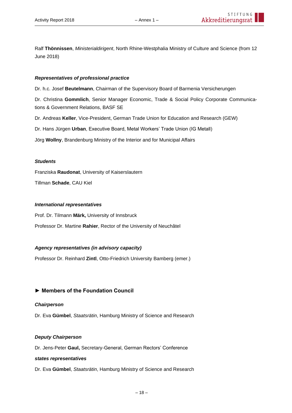Ralf **Thönnissen**, *Ministerialdirigent*, North Rhine-Westphalia Ministry of Culture and Science (from 12 June 2018)

#### *Representatives of professional practice*

Dr. h.c. Josef **Beutelmann**, Chairman of the Supervisory Board of Barmenia Versicherungen

Dr. Christina **Gommlich**, Senior Manager Economic, Trade & Social Policy Corporate Communications & Government Relations, BASF SE

Dr. Andreas **Keller**, Vice-President, German Trade Union for Education and Research (GEW)

Dr. Hans Jürgen **Urban**, Executive Board, Metal Workers' Trade Union (IG Metall)

Jörg **Wollny**, Brandenburg Ministry of the Interior and for Municipal Affairs

#### *Students*

Franziska **Raudonat**, University of Kaiserslautern

Tillman **Schade**, CAU Kiel

#### *International representatives*

Prof. Dr. Tilmann **Märk,** University of Innsbruck Professor Dr. Martine **Rahier**, Rector of the University of Neuchâtel

#### *Agency representatives (in advisory capacity)*

Professor Dr. Reinhard **Zintl**, Otto-Friedrich University Bamberg (emer.)

#### **► Members of the Foundation Council**

#### *Chairperson*

Dr. Eva **Gümbel**, *Staatsrätin*, Hamburg Ministry of Science and Research

#### *Deputy Chairperson*

Dr. Jens-Peter **Gaul,** Secretary-General, German Rectors' Conference

#### *states representatives*

Dr. Eva **Gümbel**, *Staatsrätin*, Hamburg Ministry of Science and Research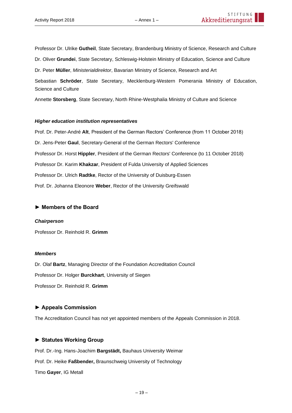Professor Dr. Ulrike **Gutheil**, State Secretary, Brandenburg Ministry of Science, Research and Culture

Dr. Oliver **Grundei**, State Secretary, Schleswig-Holstein Ministry of Education, Science and Culture

Dr. Peter **Müller**, *Ministerialdirektor*, Bavarian Ministry of Science, Research and Art

Sebastian **Schröder**, State Secretary, Mecklenburg-Western Pomerania Ministry of Education, Science and Culture

Annette **Storsberg**, State Secretary, North Rhine-Westphalia Ministry of Culture and Science

#### *Higher education institution representatives*

Prof. Dr. Peter-André **Alt**, President of the German Rectors' Conference (from 11 October 2018) Dr. Jens-Peter **Gaul**, Secretary-General of the German Rectors' Conference Professor Dr. Horst **Hippler**, President of the German Rectors' Conference (to 11 October 2018) Professor Dr. Karim **Khakzar**, President of Fulda University of Applied Sciences Professor Dr. Ulrich **Radtke**, Rector of the University of Duisburg-Essen Prof. Dr. Johanna Eleonore **Weber**, Rector of the University Greifswald

#### **► Members of the Board**

#### *Chairperson*

Professor Dr. Reinhold R. **Grimm**

#### *Members*

Dr. Olaf **Bartz**, Managing Director of the Foundation Accreditation Council Professor Dr. Holger **Burckhart**, University of Siegen Professor Dr. Reinhold R. **Grimm**

#### **► Appeals Commission**

The Accreditation Council has not yet appointed members of the Appeals Commission in 2018.

#### **► Statutes Working Group**

Prof. Dr.-Ing. Hans-Joachim **Bargstädt,** Bauhaus University Weimar Prof. Dr. Heike **Faßbender,** Braunschweig University of Technology Timo **Gayer**, IG Metall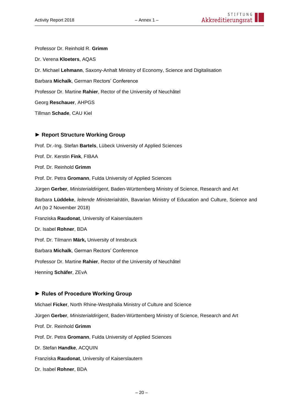Professor Dr. Reinhold R. **Grimm**  Dr. Verena **Kloeters**, AQAS Dr. Michael **Lehmann**, Saxony-Anhalt Ministry of Economy, Science and Digitalisation Barbara **Michalk**, German Rectors' Conference Professor Dr. Martine **Rahier**, Rector of the University of Neuchâtel Georg **Reschauer**, AHPGS Tillman **Schade**, CAU Kiel

#### **► Report Structure Working Group**

Prof. Dr.-Ing. Stefan **Bartels**, Lübeck University of Applied Sciences Prof. Dr. Kerstin **Fink**, FIBAA Prof. Dr. Reinhold **Grimm** Prof. Dr. Petra **Gromann**, Fulda University of Applied Sciences Jürgen **Gerber**, *Ministerialdirigent*, Baden-Württemberg Ministry of Science, Research and Art Barbara **Lüddeke**, *leitende Ministerialrätin*, Bavarian Ministry of Education and Culture, Science and Art (to 2 November 2018) Franziska **Raudonat**, University of Kaiserslautern Dr. Isabel **Rohner**, BDA Prof. Dr. Tilmann **Märk,** University of Innsbruck Barbara **Michalk**, German Rectors' Conference Professor Dr. Martine **Rahier**, Rector of the University of Neuchâtel Henning **Schäfer**, ZEvA **► Rules of Procedure Working Group**

Michael **Ficker**, North Rhine-Westphalia Ministry of Culture and Science Jürgen **Gerber**, *Ministerialdirigent*, Baden-Württemberg Ministry of Science, Research and Art Prof. Dr. Reinhold **Grimm** Prof. Dr. Petra **Gromann**, Fulda University of Applied Sciences Dr. Stefan **Handke**, ACQUIN Franziska **Raudonat**, University of Kaiserslautern Dr. Isabel **Rohner**, BDA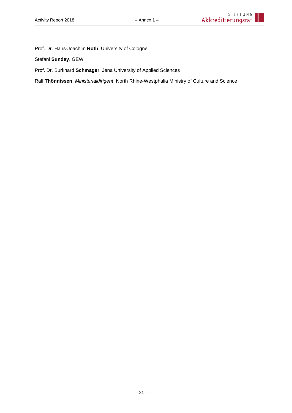Prof. Dr. Hans-Joachim **Roth**, University of Cologne

Stefani **Sunday**, GEW

Prof. Dr. Burkhard **Schmager**, Jena University of Applied Sciences

Ralf **Thönnissen**, *Ministerialdirigent*, North Rhine-Westphalia Ministry of Culture and Science